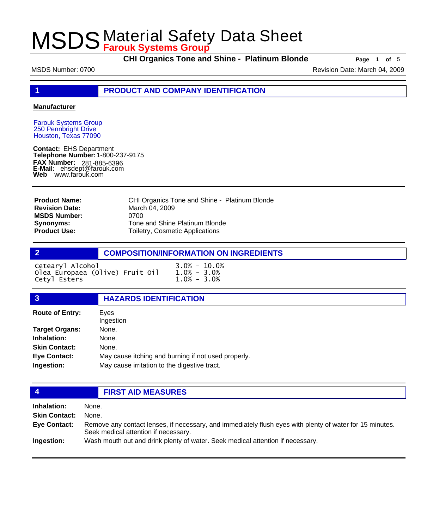**CHI Organics Tone and Shine - Platinum Blonde Page** <sup>1</sup> **of** <sup>5</sup>

MSDS Number: 0700 **Revision Date: March 04, 2009** Revision Date: March 04, 2009

**1 PRODUCT AND COMPANY IDENTIFICATION**

#### **Manufacturer**

Farouk Systems Group 250 Pennbright Drive Houston, Texas 77090

**Contact:** EHS Department **Telephone Number:** 1-800-237-9175 **FAX Number: FAX Number:** 281-885-6396<br>**E-Mail:** ehsdept@farouk.com **Web** www.farouk.com

CHI Organics Tone and Shine - Platinum Blonde March 04, 2009 0700 Tone and Shine Platinum Blonde Toiletry, Cosmetic Applications **Product Name: Revision Date: MSDS Number: Synonyms: Product Use:**

## **2 COMPOSITION/INFORMATION ON INGREDIENTS**

| Cetearyl Alcohol                |  | $3.0\% - 10.0\%$ |  |
|---------------------------------|--|------------------|--|
| Olea Europaea (Olive) Fruit Oil |  | $1.0\% - 3.0\%$  |  |
| Cetyl Esters                    |  | $1.0\% - 3.0\%$  |  |

### **3 HAZARDS IDENTIFICATION**

| <b>Route of Entry:</b> | Eves<br>Ingestion                                   |
|------------------------|-----------------------------------------------------|
| <b>Target Organs:</b>  | None.                                               |
| Inhalation:            | None.                                               |
| <b>Skin Contact:</b>   | None.                                               |
| <b>Eye Contact:</b>    | May cause itching and burning if not used properly. |
| Ingestion:             | May cause irritation to the digestive tract.        |

### **4 FIRST AID MEASURES**

**Inhalation:** None. **Skin Contact:** None. Remove any contact lenses, if necessary, and immediately flush eyes with plenty of water for 15 minutes. Seek medical attention if necessary. **Eye Contact: Ingestion:** Wash mouth out and drink plenty of water. Seek medical attention if necessary.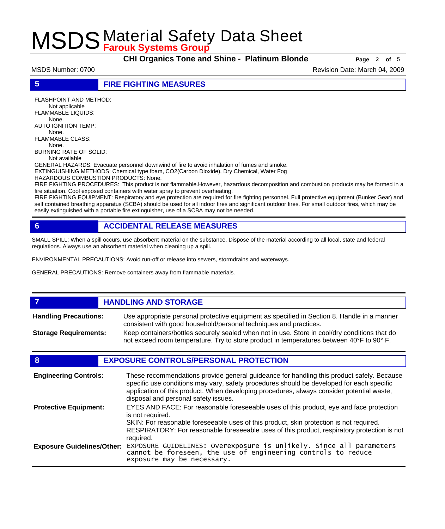**CHI Organics Tone and Shine - Platinum Blonde Page** <sup>2</sup> **of** <sup>5</sup>

MSDS Number: 0700 **Revision Date: March 04, 2009** Revision Date: March 04, 2009

**5 FIRE FIGHTING MEASURES**

FLASHPOINT AND METHOD: Not applicable FLAMMABLE LIQUIDS: None. AUTO IGNITION TEMP: None. FLAMMABLE CLASS: None. BURNING RATE OF SOLID:

Not available

GENERAL HAZARDS: Evacuate personnel downwind of fire to avoid inhalation of fumes and smoke. EXTINGUISHING METHODS: Chemical type foam, CO2(Carbon Dioxide), Dry Chemical, Water Fog

HAZARDOUS COMBUSTION PRODUCTS: None.

FIRE FIGHTING PROCEDURES: This product is not flammable.However, hazardous decomposition and combustion products may be formed in a fire situation. Cool exposed containers with water spray to prevent overheating.

FIRE FIGHTING EQUIPMENT: Respiratory and eye protection are required for fire fighting personnel. Full protective equipment (Bunker Gear) and self contained breathing apparatus (SCBA) should be used for all indoor fires and significant outdoor fires. For small outdoor fires, which may be easily extinguished with a portable fire extinguisher, use of a SCBA may not be needed.

# **6 ACCIDENTAL RELEASE MEASURES**

SMALL SPILL: When a spill occurs, use absorbent material on the substance. Dispose of the material according to all local, state and federal regulations. Always use an absorbent material when cleaning up a spill.

ENVIRONMENTAL PRECAUTIONS: Avoid run-off or release into sewers, stormdrains and waterways.

GENERAL PRECAUTIONS: Remove containers away from flammable materials.

#### *HANDLING AND STORAGE* Use appropriate personal protective equipment as specified in Section 8. Handle in a manner consistent with good household/personal techniques and practices. **Handling Precautions:** Keep containers/bottles securely sealed when not in use. Store in cool/dry conditions that do not exceed room temperature. Try to store product in temperatures between 40°F to 90° F. **Storage Requirements:**

## **8 EXPOSURE CONTROLS/PERSONAL PROTECTION**

| <b>Engineering Controls:</b>      | These recommendations provide general guideance for handling this product safely. Because<br>specific use conditions may vary, safety procedures should be developed for each specific<br>application of this product. When developing procedures, always consider potential waste,<br>disposal and personal safety issues. |
|-----------------------------------|-----------------------------------------------------------------------------------------------------------------------------------------------------------------------------------------------------------------------------------------------------------------------------------------------------------------------------|
| <b>Protective Equipment:</b>      | EYES AND FACE: For reasonable foreseeable uses of this product, eye and face protection<br>is not required.<br>SKIN: For reasonable foreseeable uses of this product, skin protection is not required.<br>RESPIRATORY: For reasonable foreseeable uses of this product, respiratory protection is not<br>required.          |
| <b>Exposure Guidelines/Other:</b> | EXPOSURE GUIDELINES: Overexposure is unlikely. Since all parameters cannot be foreseen, the use of engineering controls to reduce<br>exposure may be necessary.                                                                                                                                                             |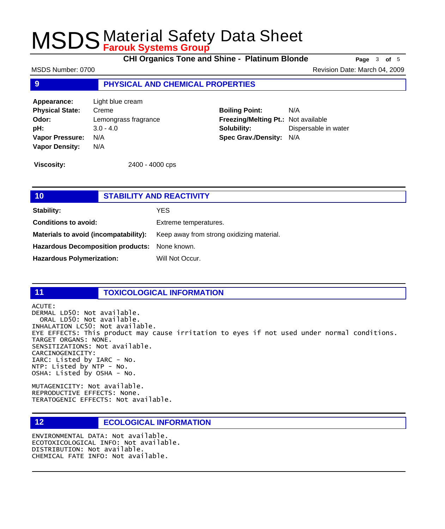**CHI Organics Tone and Shine - Platinum Blonde Page** <sup>3</sup> **of** <sup>5</sup>

MSDS Number: 0700 **Revision Date: March 04, 2009** Revision Date: March 04, 2009

### **9 PHYSICAL AND CHEMICAL PROPERTIES**

**Appearance:** Light blue cream **Physical State:** Creme **Odor:** Lemongrass fragrance **pH:** 3.0 - 4.0 **Vapor Pressure:** N/A **Vapor Density:** N/A

**Boiling Point:** N/A **Freezing/Melting Pt.:** Not available **Solubility:** Dispersable in water **Spec Grav./Density:** N/A

**Viscosity:** 2400 - 4000 cps

| 10                                            | <b>STABILITY AND REACTIVITY</b>           |  |
|-----------------------------------------------|-------------------------------------------|--|
| <b>Stability:</b>                             | YES.                                      |  |
| <b>Conditions to avoid:</b>                   | Extreme temperatures.                     |  |
| Materials to avoid (incompatability):         | Keep away from strong oxidizing material. |  |
| Hazardous Decomposition products: None known. |                                           |  |
| <b>Hazardous Polymerization:</b>              | Will Not Occur.                           |  |
|                                               |                                           |  |

## **11 TOXICOLOGICAL INFORMATION**

ACUTE:

DERMAL LD50: Not available. ORAL LD50: Not available. INHALATION LC50: Not available. EYE EFFECTS: This product may cause irritation to eyes if not used under normal conditions. TARGET ORGANS: NONE. SENSITIZATIONS: Not available. CARCINOGENICITY: IARC: Listed by IARC - No. NTP: Listed by NTP - No. OSHA: Listed by OSHA - No.

MUTAGENICITY: Not available. REPRODUCTIVE EFFECTS: None. TERATOGENIC EFFECTS: Not available.

## **12 ECOLOGICAL INFORMATION**

ENVIRONMENTAL DATA: Not available. ECOTOXICOLOGICAL INFO: Not available. DISTRIBUTION: Not available. CHEMICAL FATE INFO: Not available.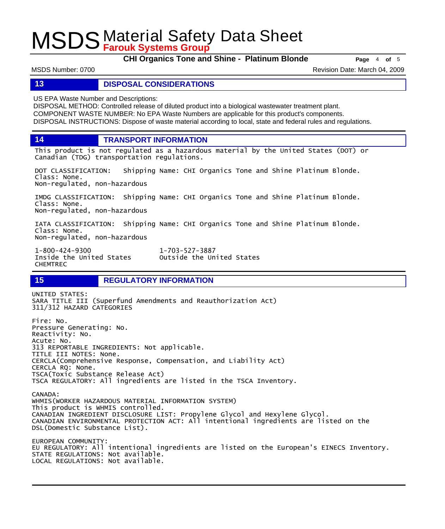**CHI Organics Tone and Shine - Platinum Blonde Page** <sup>4</sup> **of** <sup>5</sup>

MSDS Number: 0700 **Revision Date: March 04, 2009** Revision Date: March 04, 2009

#### **13 DISPOSAL CONSIDERATIONS**

US EPA Waste Number and Descriptions:

DISPOSAL METHOD: Controlled release of diluted product into a biological wastewater treatment plant. COMPONENT WASTE NUMBER: No EPA Waste Numbers are applicable for this product's components. DISPOSAL INSTRUCTIONS: Dispose of waste material according to local, state and federal rules and regulations.

**14 TRANSPORT INFORMATION**

This product is not regulated as a hazardous material by the United States (DOT) or Canadian (TDG) transportation regulations.

DOT CLASSIFICATION: Shipping Name: CHI Organics Tone and Shine Platinum Blonde. Class: None. Non-regulated, non-hazardous

IMDG CLASSIFICATION: Shipping Name: CHI Organics Tone and Shine Platinum Blonde. Class: None. Non-regulated, non-hazardous

IATA CLASSIFICATION: Shipping Name: CHI Organics Tone and Shine Platinum Blonde. Class: None. Non-regulated, non-hazardous

Outside the United States

1-800-424-9300 1-703-527-3887 CHEMTREC

**15 REGULATORY INFORMATION**

UNITED STATES: SARA TITLE III (Superfund Amendments and Reauthorization Act) 311/312 HAZARD CATEGORIES Fire: No. Pressure Generating: No. Reactivity: No. Acute: No. 313 REPORTABLE INGREDIENTS: Not applicable.

TITLE III NOTES: None. CERCLA(Comprehensive Response, Compensation, and Liability Act) CERCLA RQ: None. TSCA(Toxic Substance Release Act) TSCA REGULATORY: All ingredients are listed in the TSCA Inventory.

CANADA: WHMIS(WORKER HAZARDOUS MATERIAL INFORMATION SYSTEM) This product is WHMIS controlled. CANADIAN INGREDIENT DISCLOSURE LIST: Propylene Glycol and Hexylene Glycol. CANADIAN ENVIRONMENTAL PROTECTION ACT: All intentional ingredients are listed on the DSL(Domestic Substance List).

EUROPEAN COMMUNITY: EU REGULATORY: All intentional ingredients are listed on the European's EINECS Inventory. STATE REGULATIONS: Not available. LOCAL REGULATIONS: Not available.